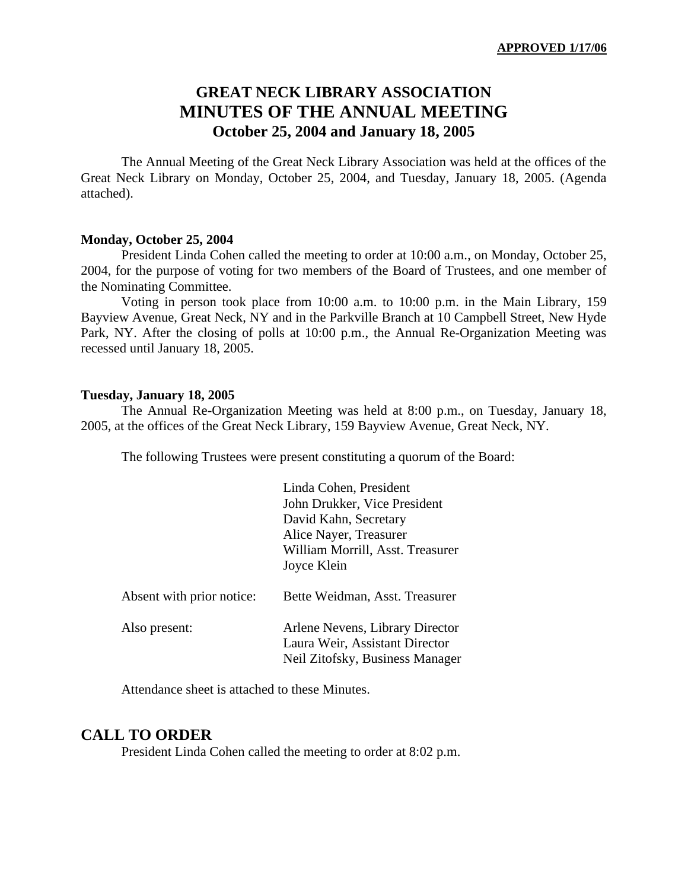# **GREAT NECK LIBRARY ASSOCIATION MINUTES OF THE ANNUAL MEETING October 25, 2004 and January 18, 2005**

The Annual Meeting of the Great Neck Library Association was held at the offices of the Great Neck Library on Monday, October 25, 2004, and Tuesday, January 18, 2005. (Agenda attached).

#### **Monday, October 25, 2004**

President Linda Cohen called the meeting to order at 10:00 a.m., on Monday, October 25, 2004, for the purpose of voting for two members of the Board of Trustees, and one member of the Nominating Committee.

Voting in person took place from 10:00 a.m. to 10:00 p.m. in the Main Library, 159 Bayview Avenue, Great Neck, NY and in the Parkville Branch at 10 Campbell Street, New Hyde Park, NY. After the closing of polls at 10:00 p.m., the Annual Re-Organization Meeting was recessed until January 18, 2005.

#### **Tuesday, January 18, 2005**

The Annual Re-Organization Meeting was held at 8:00 p.m., on Tuesday, January 18, 2005, at the offices of the Great Neck Library, 159 Bayview Avenue, Great Neck, NY.

The following Trustees were present constituting a quorum of the Board:

|                           | Linda Cohen, President<br>John Drukker, Vice President<br>David Kahn, Secretary<br>Alice Nayer, Treasurer<br>William Morrill, Asst. Treasurer<br>Joyce Klein |
|---------------------------|--------------------------------------------------------------------------------------------------------------------------------------------------------------|
| Absent with prior notice: | Bette Weidman, Asst. Treasurer                                                                                                                               |
| Also present:             | Arlene Nevens, Library Director<br>Laura Weir, Assistant Director<br>Neil Zitofsky, Business Manager                                                         |

Attendance sheet is attached to these Minutes.

#### **CALL TO ORDER**

President Linda Cohen called the meeting to order at 8:02 p.m.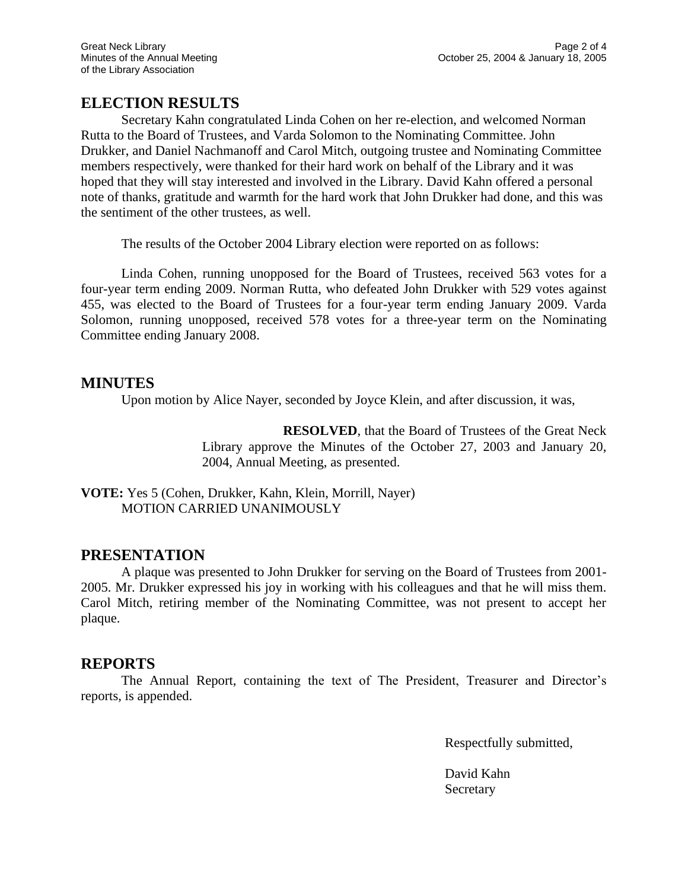## **ELECTION RESULTS**

Secretary Kahn congratulated Linda Cohen on her re-election, and welcomed Norman Rutta to the Board of Trustees, and Varda Solomon to the Nominating Committee. John Drukker, and Daniel Nachmanoff and Carol Mitch, outgoing trustee and Nominating Committee members respectively, were thanked for their hard work on behalf of the Library and it was hoped that they will stay interested and involved in the Library. David Kahn offered a personal note of thanks, gratitude and warmth for the hard work that John Drukker had done, and this was the sentiment of the other trustees, as well.

The results of the October 2004 Library election were reported on as follows:

Linda Cohen, running unopposed for the Board of Trustees, received 563 votes for a four-year term ending 2009. Norman Rutta, who defeated John Drukker with 529 votes against 455, was elected to the Board of Trustees for a four-year term ending January 2009. Varda Solomon, running unopposed, received 578 votes for a three-year term on the Nominating Committee ending January 2008.

#### **MINUTES**

Upon motion by Alice Nayer, seconded by Joyce Klein, and after discussion, it was,

**RESOLVED**, that the Board of Trustees of the Great Neck Library approve the Minutes of the October 27, 2003 and January 20, 2004, Annual Meeting, as presented.

**VOTE:** Yes 5 (Cohen, Drukker, Kahn, Klein, Morrill, Nayer) MOTION CARRIED UNANIMOUSLY

## **PRESENTATION**

A plaque was presented to John Drukker for serving on the Board of Trustees from 2001- 2005. Mr. Drukker expressed his joy in working with his colleagues and that he will miss them. Carol Mitch, retiring member of the Nominating Committee, was not present to accept her plaque.

## **REPORTS**

The Annual Report, containing the text of The President, Treasurer and Director's reports, is appended.

Respectfully submitted,

David Kahn **Secretary**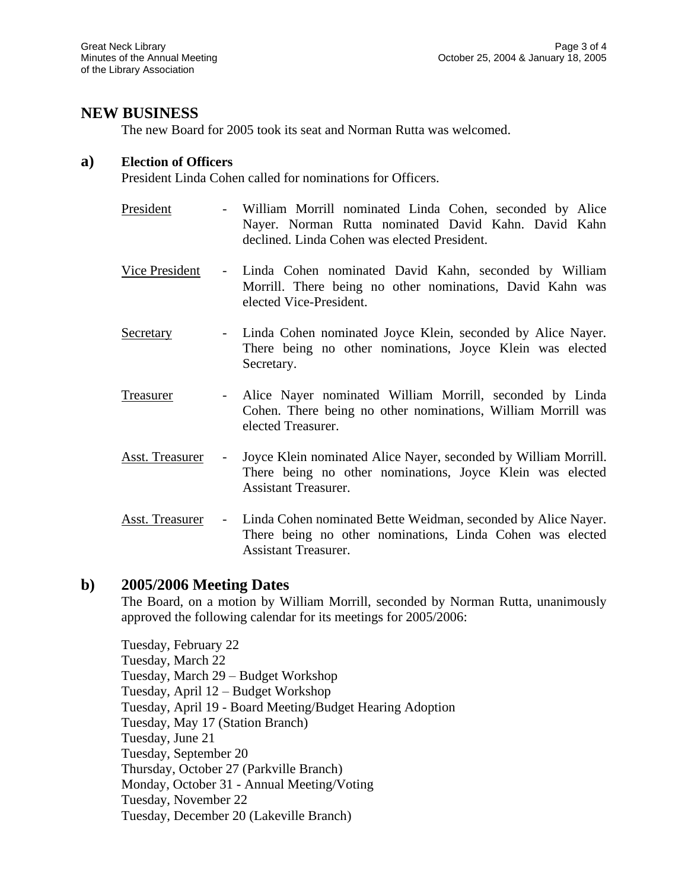## **NEW BUSINESS**

The new Board for 2005 took its seat and Norman Rutta was welcomed.

#### **a) Election of Officers**

President Linda Cohen called for nominations for Officers.

- President William Morrill nominated Linda Cohen, seconded by Alice Nayer. Norman Rutta nominated David Kahn. David Kahn declined. Linda Cohen was elected President.
- Vice President Linda Cohen nominated David Kahn, seconded by William Morrill. There being no other nominations, David Kahn was elected Vice-President.
- Secretary Linda Cohen nominated Joyce Klein, seconded by Alice Nayer. There being no other nominations, Joyce Klein was elected Secretary.
- Treasurer Alice Nayer nominated William Morrill, seconded by Linda Cohen. There being no other nominations, William Morrill was elected Treasurer.
- Asst. Treasurer Joyce Klein nominated Alice Nayer, seconded by William Morrill. There being no other nominations, Joyce Klein was elected Assistant Treasurer.
- Asst. Treasurer Linda Cohen nominated Bette Weidman, seconded by Alice Nayer. There being no other nominations, Linda Cohen was elected Assistant Treasurer.

#### **b) 2005/2006 Meeting Dates**

The Board, on a motion by William Morrill, seconded by Norman Rutta, unanimously approved the following calendar for its meetings for 2005/2006:

Tuesday, February 22 Tuesday, March 22 Tuesday, March 29 – Budget Workshop Tuesday, April 12 – Budget Workshop Tuesday, April 19 - Board Meeting/Budget Hearing Adoption Tuesday, May 17 (Station Branch) Tuesday, June 21 Tuesday, September 20 Thursday, October 27 (Parkville Branch) Monday, October 31 - Annual Meeting/Voting Tuesday, November 22 Tuesday, December 20 (Lakeville Branch)